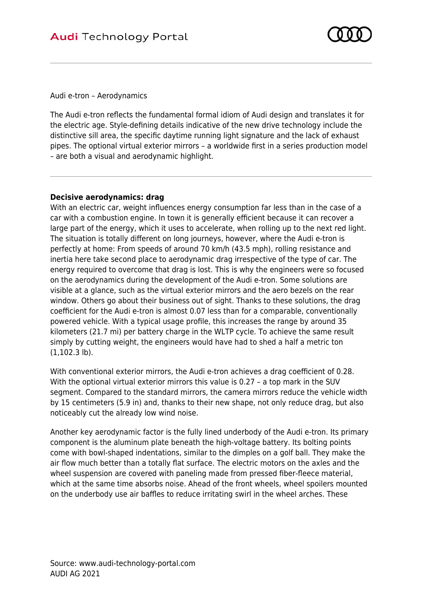

Audi e-tron – Aerodynamics

The Audi e-tron reflects the fundamental formal idiom of Audi design and translates it for the electric age. Style-defining details indicative of the new drive technology include the distinctive sill area, the specific daytime running light signature and the lack of exhaust pipes. The optional virtual exterior mirrors – a worldwide first in a series production model – are both a visual and aerodynamic highlight.

## **Decisive aerodynamics: drag**

With an electric car, weight influences energy consumption far less than in the case of a car with a combustion engine. In town it is generally efficient because it can recover a large part of the energy, which it uses to accelerate, when rolling up to the next red light. The situation is totally different on long journeys, however, where the Audi e-tron is perfectly at home: From speeds of around 70 km/h (43.5 mph), rolling resistance and inertia here take second place to aerodynamic drag irrespective of the type of car. The energy required to overcome that drag is lost. This is why the engineers were so focused on the aerodynamics during the development of the Audi e-tron. Some solutions are visible at a glance, such as the virtual exterior mirrors and the aero bezels on the rear window. Others go about their business out of sight. Thanks to these solutions, the drag coefficient for the Audi e-tron is almost 0.07 less than for a comparable, conventionally powered vehicle. With a typical usage profile, this increases the range by around 35 kilometers (21.7 mi) per battery charge in the WLTP cycle. To achieve the same result simply by cutting weight, the engineers would have had to shed a half a metric ton (1,102.3 lb).

With conventional exterior mirrors, the Audi e-tron achieves a drag coefficient of 0.28. With the optional virtual exterior mirrors this value is 0.27 – a top mark in the SUV segment. Compared to the standard mirrors, the camera mirrors reduce the vehicle width by 15 centimeters (5.9 in) and, thanks to their new shape, not only reduce drag, but also noticeably cut the already low wind noise.

Another key aerodynamic factor is the fully lined underbody of the Audi e-tron. Its primary component is the aluminum plate beneath the high-voltage battery. Its bolting points come with bowl-shaped indentations, similar to the dimples on a golf ball. They make the air flow much better than a totally flat surface. The electric motors on the axles and the wheel suspension are covered with paneling made from pressed fiber-fleece material, which at the same time absorbs noise. Ahead of the front wheels, wheel spoilers mounted on the underbody use air baffles to reduce irritating swirl in the wheel arches. These